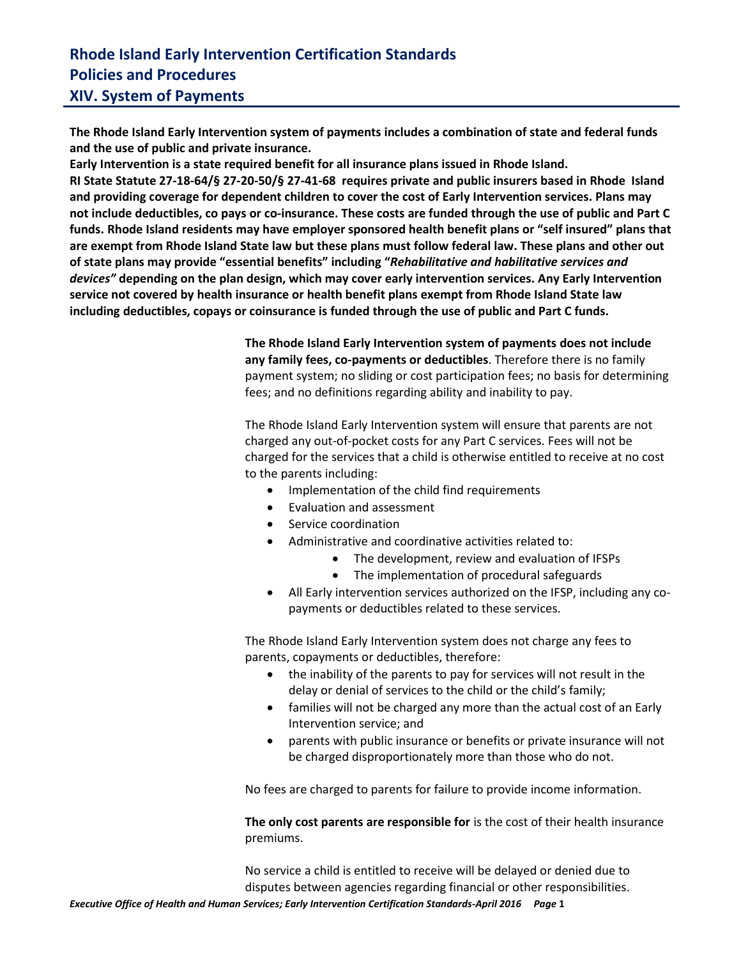## **Rhode Island Early Intervention Certification Standards Policies and Procedures XIV. System of Payments**

**The Rhode Island Early Intervention system of payments includes a combination of state and federal funds and the use of public and private insurance.**

**Early Intervention is a state required benefit for all insurance plans issued in Rhode Island. RI State Statute 27-18-64/§ 27-20-50/§ 27-41-68 requires private and public insurers based in Rhode Island and providing coverage for dependent children to cover the cost of Early Intervention services. Plans may not include deductibles, co pays or co-insurance. These costs are funded through the use of public and Part C funds. Rhode Island residents may have employer sponsored health benefit plans or "self insured" plans that are exempt from Rhode Island State law but these plans must follow federal law. These plans and other out of state plans may provide "essential benefits" including "***Rehabilitative and habilitative services and devices"* **depending on the plan design, which may cover early intervention services. Any Early Intervention service not covered by health insurance or health benefit plans exempt from Rhode Island State law including deductibles, copays or coinsurance is funded through the use of public and Part C funds.** 

> **The Rhode Island Early Intervention system of payments does not include any family fees, co-payments or deductibles**. Therefore there is no family payment system; no sliding or cost participation fees; no basis for determining fees; and no definitions regarding ability and inability to pay.

The Rhode Island Early Intervention system will ensure that parents are not charged any out-of-pocket costs for any Part C services. Fees will not be charged for the services that a child is otherwise entitled to receive at no cost to the parents including:

- Implementation of the child find requirements
- [Evaluation](file:///C:/Documents%20and%20Settings/DNovak/Local%20Settings/Temp/Definitions.doc%23evaluation) an[d assessment](file:///C:/Documents%20and%20Settings/DNovak/Local%20Settings/Temp/Definitions.doc%23assessment)
- Service coordination
- Administrative and coordinative activities related to:
	- The development, review and evaluation of IFSPs
	- The implementation of procedural safeguards
- All Early intervention services authorized on the IFSP, including any copayments or deductibles related to these services.

The Rhode Island Early Intervention system does not charge any fees to parents, copayments or deductibles, therefore:

- the inability of the parents to pay for services will not result in the delay or denial of services to the child or the child's family;
- families will not be charged any more than the actual cost of an Early Intervention service; and
- parents with public insurance or benefits or private insurance will not be charged disproportionately more than those who do not.

No fees are charged to parents for failure to provide income information.

**The only cost parents are responsible for** is the cost of their health insurance premiums.

No service a child is entitled to receive will be delayed or denied due to disputes between agencies regarding financial or other responsibilities.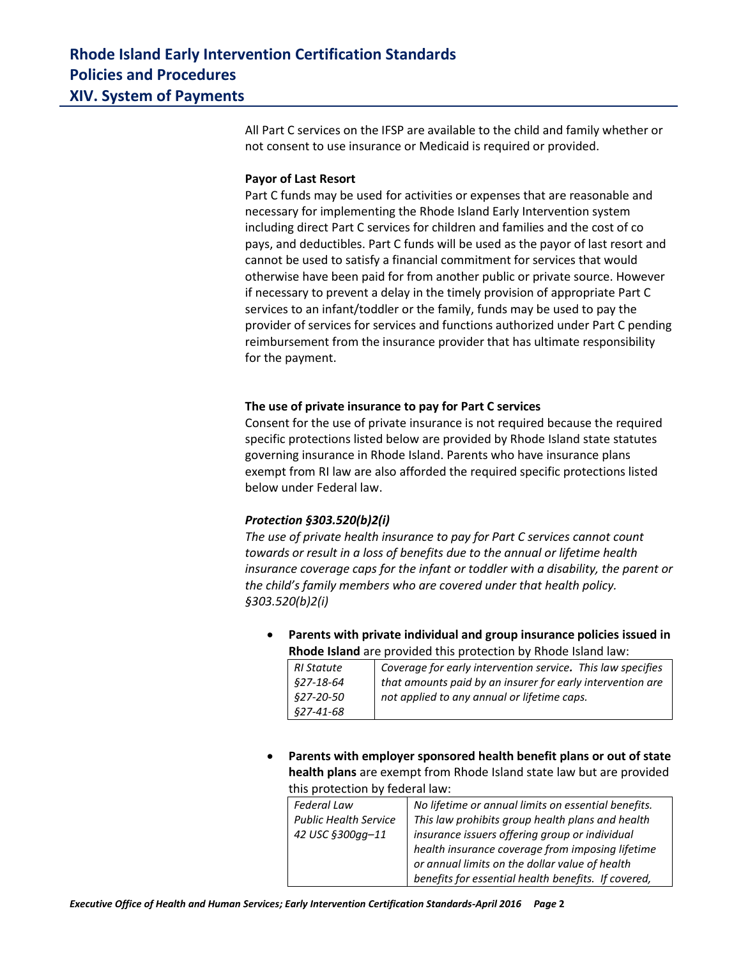All Part C services on the IFSP are available to the child and family whether or not consent to use insurance or Medicaid is required or provided.

#### **Payor of Last Resort**

Part C funds may be used for activities or expenses that are reasonable and necessary for implementing the Rhode Island Early Intervention system including direct Part C services for children and families and the cost of co pays, and deductibles. Part C funds will be used as the payor of last resort and cannot be used to satisfy a financial commitment for services that would otherwise have been paid for from another public or private source. However if necessary to prevent a delay in the timely provision of appropriate Part C services to an infant/toddler or the family, funds may be used to pay the provider of services for services and functions authorized under Part C pending reimbursement from the insurance provider that has ultimate responsibility for the payment.

#### **The use of private insurance to pay for Part C services**

Consent for the use of private insurance is not required because the required specific protections listed below are provided by Rhode Island state statutes governing insurance in Rhode Island. Parents who have insurance plans exempt from RI law are also afforded the required specific protections listed below under Federal law.

### *Protection §303.520(b)2(i)*

*The use of private health insurance to pay for Part C services cannot count towards or result in a loss of benefits due to the annual or lifetime health insurance coverage caps for the infant or toddler with a disability, the parent or the child's family members who are covered under that health policy. §303.520(b)2(i)*

 **Parents with private individual and group insurance policies issued in Rhode Island** are provided this protection by Rhode Island law:

| RI Statute       | Coverage for early intervention service. This law specifies  |
|------------------|--------------------------------------------------------------|
| <i>§27-18-64</i> | I that amounts paid by an insurer for early intervention are |
| <i>§27-20-50</i> | not applied to any annual or lifetime caps.                  |
| <i>§27-41-68</i> |                                                              |

 **Parents with employer sponsored health benefit plans or out of state health plans** are exempt from Rhode Island state law but are provided this protection by federal law:

| <b>Federal Law</b>           | No lifetime or annual limits on essential benefits. |  |  |  |
|------------------------------|-----------------------------------------------------|--|--|--|
| <b>Public Health Service</b> | This law prohibits group health plans and health    |  |  |  |
| 42 USC §300gg-11             | insurance issuers offering group or individual      |  |  |  |
|                              | health insurance coverage from imposing lifetime    |  |  |  |
|                              | or annual limits on the dollar value of health      |  |  |  |
|                              | benefits for essential health benefits. If covered, |  |  |  |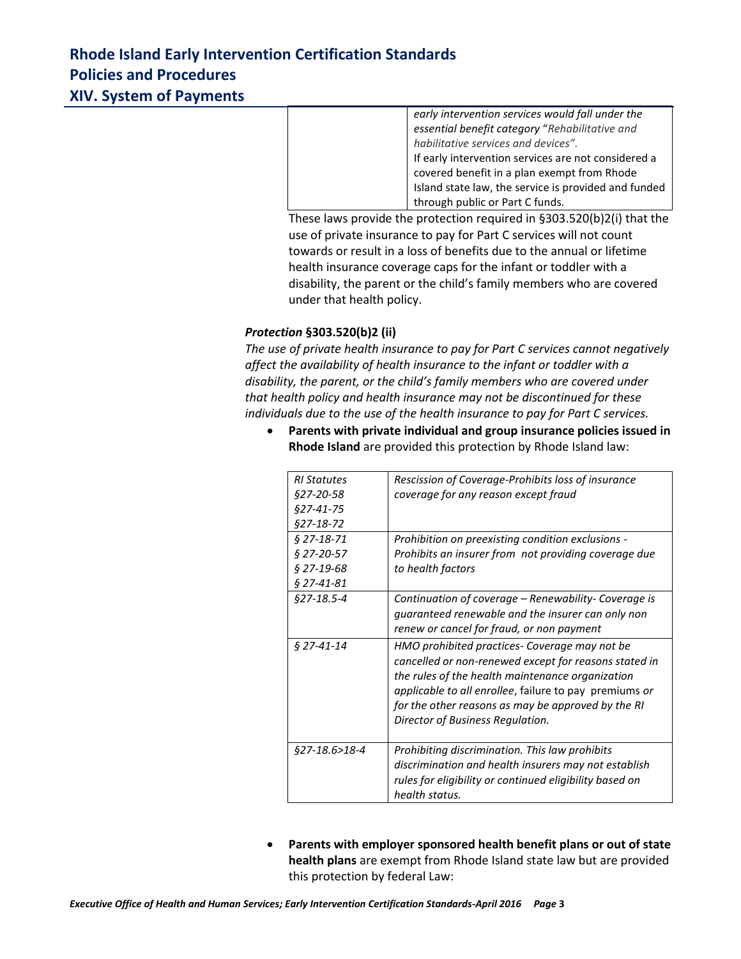# **Rhode Island Early Intervention Certification Standards Policies and Procedures XIV. System of Payments**

*early intervention services would fall under the essential benefit category* "*Rehabilitative and habilitative services and devices".* If early intervention services are not considered a covered benefit in a plan exempt from Rhode Island state law, the service is provided and funded through public or Part C funds.

These laws provide the protection required in §303.520(b)2(i) that the use of private insurance to pay for Part C services will not count towards or result in a loss of benefits due to the annual or lifetime health insurance coverage caps for the infant or toddler with a disability, the parent or the child's family members who are covered under that health policy.

### *Protection* **§303.520(b)2 (ii)**

*The use of private health insurance to pay for Part C services cannot negatively affect the availability of health insurance to the infant or toddler with a disability, the parent, or the child's family members who are covered under that health policy and health insurance may not be discontinued for these individuals due to the use of the health insurance to pay for Part C services.*

 **Parents with private individual and group insurance policies issued in Rhode Island** are provided this protection by Rhode Island law:

| <b>RI</b> Statutes      | Rescission of Coverage-Prohibits loss of insurance            |
|-------------------------|---------------------------------------------------------------|
| \$27-20-58              | coverage for any reason except fraud                          |
| $$27-41-75$             |                                                               |
| $$27-18-72$             |                                                               |
| $$27-18-71$             | Prohibition on preexisting condition exclusions -             |
| $$27-20-57$             | Prohibits an insurer from not providing coverage due          |
| $$27-19-68$             | to health factors                                             |
| $§$ 27-41-81            |                                                               |
| \$27-18.5-4             | Continuation of coverage - Renewability- Coverage is          |
|                         | guaranteed renewable and the insurer can only non             |
|                         | renew or cancel for fraud, or non payment                     |
| § 27-41-14              | HMO prohibited practices- Coverage may not be                 |
|                         | cancelled or non-renewed except for reasons stated in         |
|                         | the rules of the health maintenance organization              |
|                         | <i>applicable to all enrollee, failure to pay premiums or</i> |
|                         | for the other reasons as may be approved by the RI            |
|                         | Director of Business Regulation.                              |
|                         |                                                               |
| <i>§27-18.6&gt;18-4</i> | Prohibiting discrimination. This law prohibits                |
|                         | discrimination and health insurers may not establish          |
|                         | rules for eligibility or continued eligibility based on       |
|                         | health status.                                                |

 **Parents with employer sponsored health benefit plans or out of state health plans** are exempt from Rhode Island state law but are provided this protection by federal Law: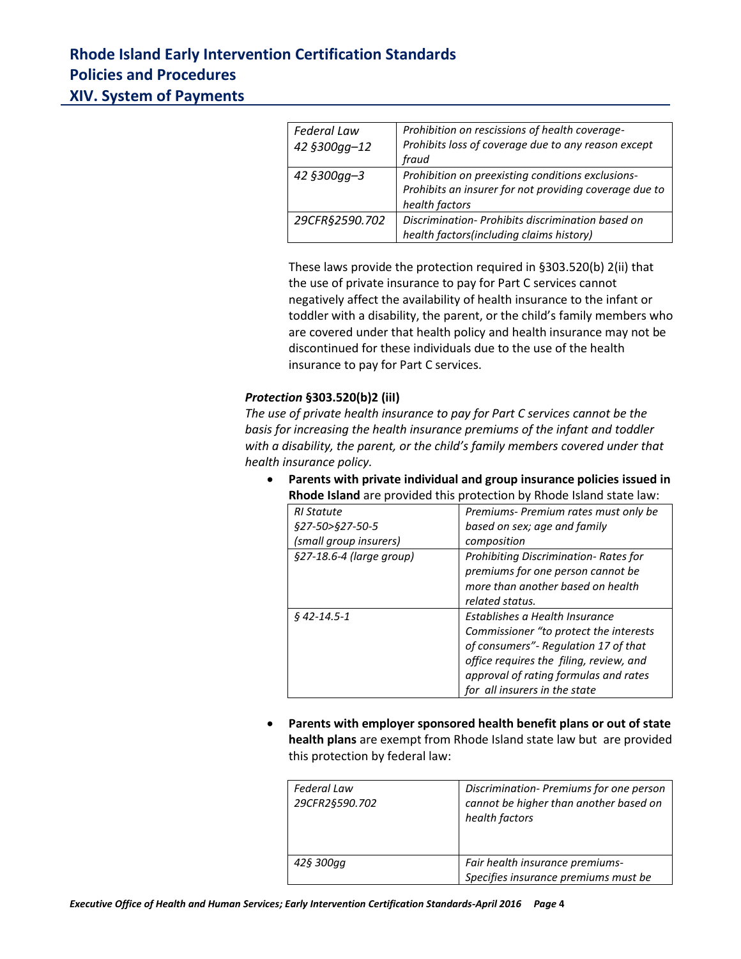# **Rhode Island Early Intervention Certification Standards Policies and Procedures XIV. System of Payments**

| <b>Federal Law</b> | Prohibition on rescissions of health coverage-         |
|--------------------|--------------------------------------------------------|
| 42 §300gg-12       | Prohibits loss of coverage due to any reason except    |
|                    | fraud                                                  |
| 42 §300gg-3        | Prohibition on preexisting conditions exclusions-      |
|                    | Prohibits an insurer for not providing coverage due to |
|                    | health factors                                         |
| 29CFR§2590.702     | Discrimination-Prohibits discrimination based on       |
|                    | health factors(including claims history)               |

These laws provide the protection required in §303.520(b) 2(ii) that the use of private insurance to pay for Part C services cannot negatively affect the availability of health insurance to the infant or toddler with a disability, the parent, or the child's family members who are covered under that health policy and health insurance may not be discontinued for these individuals due to the use of the health insurance to pay for Part C services.

### *Protection* **§303.520(b)2 (iiI)**

*The use of private health insurance to pay for Part C services cannot be the basis for increasing the health insurance premiums of the infant and toddler with a disability, the parent, or the child's family members covered under that health insurance policy.* 

- **Rhode Island** are provided this protection by Rhode Island state law: *RI Statute §27-50>§27-50-5 (small group insurers) Premiums- Premium rates must only be based on sex; age and family composition §27-18.6-4 (large group) Prohibiting Discrimination- Rates for premiums for one person cannot be more than another based on health related status. § 42-14.5-1 Establishes a Health Insurance Commissioner "to protect the interests of consumers"- Regulation 17 of that office requires the filing, review, and approval of rating formulas and rates*
- **Parents with private individual and group insurance policies issued in**

 **Parents with employer sponsored health benefit plans or out of state health plans** are exempt from Rhode Island state law but are provided this protection by federal law:

*for all insurers in the state*

| <b>Federal Law</b><br>29CFR2§590.702 | Discrimination-Premiums for one person<br>cannot be higher than another based on<br>health factors |
|--------------------------------------|----------------------------------------------------------------------------------------------------|
| 42§ 300gg                            | Fair health insurance premiums-<br>Specifies insurance premiums must be                            |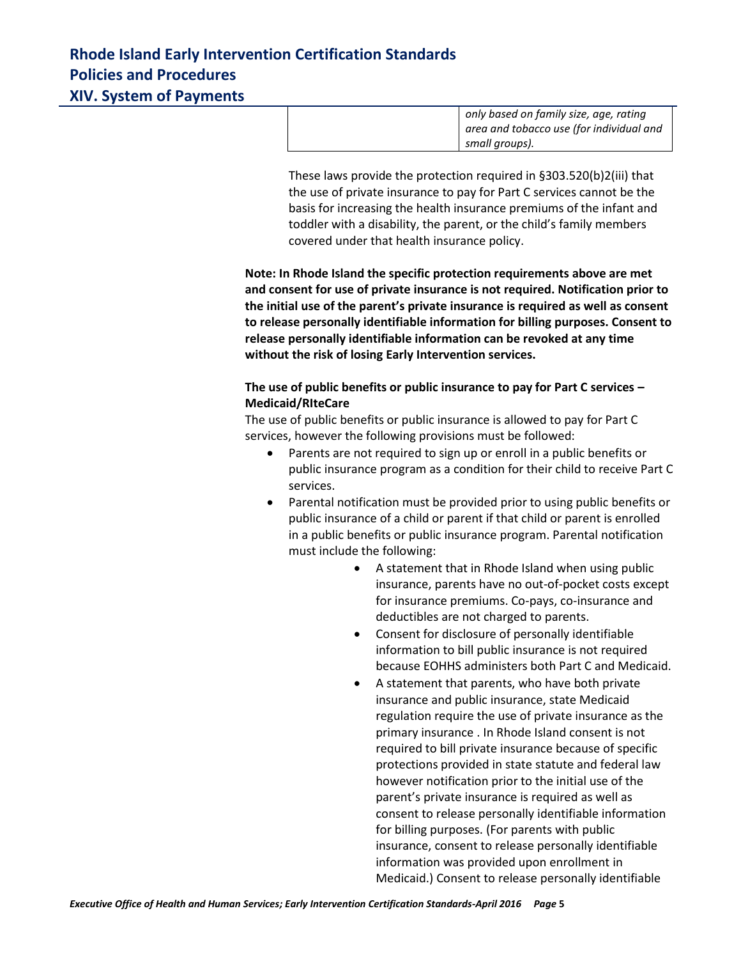| only based on family size, age, rating<br>area and tobacco use (for individual and |
|------------------------------------------------------------------------------------|
| small groups).                                                                     |

These laws provide the protection required in §303.520(b)2(iii) that the use of private insurance to pay for Part C services cannot be the basis for increasing the health insurance premiums of the infant and toddler with a disability, the parent, or the child's family members covered under that health insurance policy.

**Note: In Rhode Island the specific protection requirements above are met and consent for use of private insurance is not required. Notification prior to the initial use of the parent's private insurance is required as well as consent to release personally identifiable information for billing purposes. Consent to release personally identifiable information can be revoked at any time without the risk of losing Early Intervention services.**

## **The use of public benefits or public insurance to pay for Part C services – Medicaid/RIteCare**

The use of public benefits or public insurance is allowed to pay for Part C services, however the following provisions must be followed:

- Parents are not required to sign up or enroll in a public benefits or public insurance program as a condition for their child to receive Part C services.
- Parental notification must be provided prior to using public benefits or public insurance of a child or parent if that child or parent is enrolled in a public benefits or public insurance program. Parental notification must include the following:
	- A statement that in Rhode Island when using public insurance, parents have no out-of-pocket costs except for insurance premiums. Co-pays, co-insurance and deductibles are not charged to parents.
	- Consent for disclosure of personally identifiable information to bill public insurance is not required because EOHHS administers both Part C and Medicaid.
	- A statement that parents, who have both private insurance and public insurance, state Medicaid regulation require the use of private insurance as the primary insurance . In Rhode Island consent is not required to bill private insurance because of specific protections provided in state statute and federal law however notification prior to the initial use of the parent's private insurance is required as well as consent to release personally identifiable information for billing purposes. (For parents with public insurance, consent to release personally identifiable information was provided upon enrollment in Medicaid.) Consent to release personally identifiable